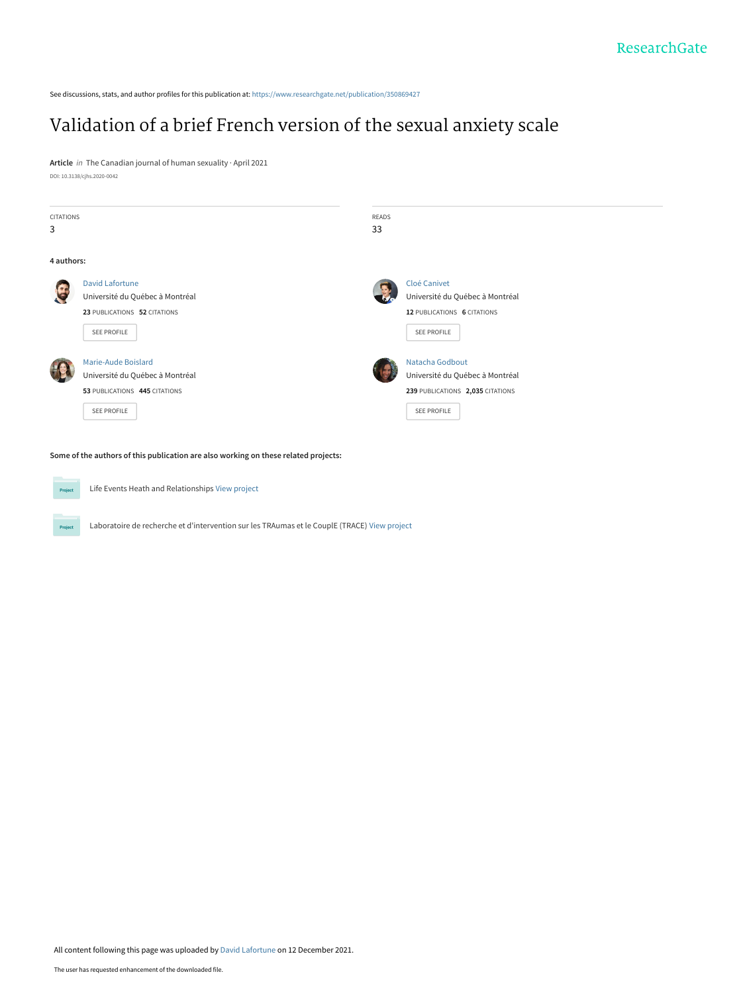See discussions, stats, and author profiles for this publication at: [https://www.researchgate.net/publication/350869427](https://www.researchgate.net/publication/350869427_Validation_of_a_brief_French_version_of_the_sexual_anxiety_scale?enrichId=rgreq-a1071266845825c51973b33ca2b5d108-XXX&enrichSource=Y292ZXJQYWdlOzM1MDg2OTQyNztBUzoxMTAwMDEwNDg1NzQ3NzEzQDE2MzkyNzQzNDU5MDc%3D&el=1_x_2&_esc=publicationCoverPdf)

## [Validation of a brief French version of the sexual anxiety scale](https://www.researchgate.net/publication/350869427_Validation_of_a_brief_French_version_of_the_sexual_anxiety_scale?enrichId=rgreq-a1071266845825c51973b33ca2b5d108-XXX&enrichSource=Y292ZXJQYWdlOzM1MDg2OTQyNztBUzoxMTAwMDEwNDg1NzQ3NzEzQDE2MzkyNzQzNDU5MDc%3D&el=1_x_3&_esc=publicationCoverPdf)

**Article** in The Canadian journal of human sexuality · April 2021 DOI: 10.3138/cjhs.2020-0042

| <b>CITATIONS</b><br>3 |                                                                                                          | <b>READS</b><br>33                                                                                    |
|-----------------------|----------------------------------------------------------------------------------------------------------|-------------------------------------------------------------------------------------------------------|
| 4 authors:            |                                                                                                          |                                                                                                       |
|                       | <b>David Lafortune</b><br>Université du Québec à Montréal<br>23 PUBLICATIONS 52 CITATIONS<br>SEE PROFILE | Cloé Canivet<br>Université du Québec à Montréal<br>12 PUBLICATIONS 6 CITATIONS<br>SEE PROFILE         |
|                       | Marie-Aude Boislard<br>Université du Québec à Montréal<br>53 PUBLICATIONS 445 CITATIONS<br>SEE PROFILE   | Natacha Godbout<br>Université du Québec à Montréal<br>239 PUBLICATIONS 2,035 CITATIONS<br>SEE PROFILE |

**Some of the authors of this publication are also working on these related projects:**



Projec

Life Events Heath and Relationships [View project](https://www.researchgate.net/project/Life-Events-Heath-and-Relationships?enrichId=rgreq-a1071266845825c51973b33ca2b5d108-XXX&enrichSource=Y292ZXJQYWdlOzM1MDg2OTQyNztBUzoxMTAwMDEwNDg1NzQ3NzEzQDE2MzkyNzQzNDU5MDc%3D&el=1_x_9&_esc=publicationCoverPdf)

Laboratoire de recherche et d'intervention sur les TRAumas et le CouplE (TRACE) [View project](https://www.researchgate.net/project/Laboratoire-de-recherche-et-dintervention-sur-les-TRAumas-et-le-CouplE-TRACE?enrichId=rgreq-a1071266845825c51973b33ca2b5d108-XXX&enrichSource=Y292ZXJQYWdlOzM1MDg2OTQyNztBUzoxMTAwMDEwNDg1NzQ3NzEzQDE2MzkyNzQzNDU5MDc%3D&el=1_x_9&_esc=publicationCoverPdf)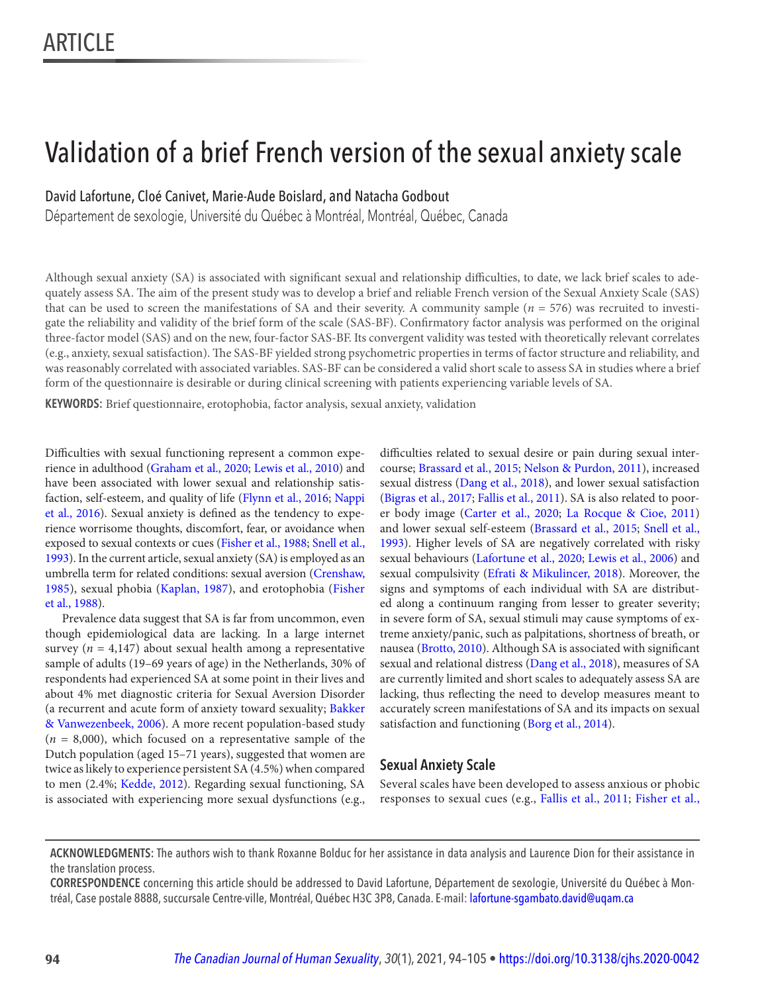## Validation of a brief French version of the sexual anxiety scale

David Lafortune, Cloé Canivet, Marie-Aude Boislard, and Natacha Godbout

Département de sexologie, Université du Québec à Montréal, Montréal, Québec, Canada

Although sexual anxiety (SA) is associated with significant sexual and relationship difficulties, to date, we lack brief scales to adequately assess SA. The aim of the present study was to develop a brief and reliable French version of the Sexual Anxiety Scale (SAS) that can be used to screen the manifestations of SA and their severity. A community sample  $(n = 576)$  was recruited to investigate the reliability and validity of the brief form of the scale (SAS-BF). Confirmatory factor analysis was performed on the original three-factor model (SAS) and on the new, four-factor SAS-BF. Its convergent validity was tested with theoretically relevant correlates (e.g., anxiety, sexual satisfaction). The SAS-BF yielded strong psychometric properties in terms of factor structure and reliability, and was reasonably correlated with associated variables. SAS-BF can be considered a valid short scale to assess SA in studies where a brief form of the questionnaire is desirable or during clinical screening with patients experiencing variable levels of SA.

KEYWORDS: Brief questionnaire, erotophobia, factor analysis, sexual anxiety, validation

 Difficulties with sexual functioning represent a common expe- difficulties related to sexual desire or pain during sexual interrience in adulthood ([Graham et al., 2020](#page--1-0); [Lewis et al., 2010](#page--1-0)) and course; [Brassard et al., 2015](#page--1-0); [Nelson & Purdon, 2011](#page--1-0)), increased have been associated with lower sexual and relationship satis- sexual distress (Dang et al., 2018), and lower sexual satisfaction faction, self-esteem, and quality of life ([Flynn et al., 2016](#page--1-0); [Nappi](#page--1-0) ([Bigras et al., 2017](#page--1-0); [Fallis et al., 2011\)](#page--1-0). SA is also related to poor[et al., 2016\)](#page--1-0). Sexual anxiety is defined as the tendency to expe- er body image ([Carter et al., 2020](#page--1-0); [La Rocque & Cioe, 2011](#page--1-0)) rience worrisome thoughts, discomfort, fear, or avoidance when and lower sexual self-esteem ([Brassard et al., 2015](#page--1-0); [Snell et al.,](#page--1-0)  exposed to sexual contexts or cues ([Fisher et al., 1988](#page--1-0); [Snell et al., 1993](#page--1-0)). Higher levels of SA are negatively correlated with risky [1993](#page--1-0)) . In the current article, sexual anxiety (SA) is employed as an sexual behaviours ([Lafortune et al., 2020](#page--1-0); [Lewis et al., 2006](#page--1-0)) and umbrella term for related conditions: sexual aversion ([Crenshaw,](#page--1-0) sexual compulsivity ([Efrati & Mikulincer, 2018](#page--1-0)). Moreover, the [1985](#page--1-0)), sexual phobia ([Kaplan, 1987](#page--1-0)), and erotophobia ([Fisher](#page--1-0) signs and symptoms of each individual with SA are distribut[et al., 1988](#page--1-0)). ed along a continuum ranging from lesser to greater severity;

[& Vanwezenbeek, 2006](#page--1-0)). A more recent population-based study satisfaction and functioning ( [Borg et al., 2014](#page--1-0)).  $(n = 8,000)$ , which focused on a representative sample of the Dutch population (aged 15–71 years), suggested that women are twice as likely to experience persistent SA (4.5%) when compared **Sexual Anxiety Scale**  to men (2.4%; [Kedde, 2012](#page--1-0)). Regarding sexual functioning, SA Several scales have been developed to assess anxious or phobic

Prevalence data suggest that SA is far from uncommon, even in severe form of SA, sexual stimuli may cause symptoms of exthough epidemiological data are lacking. In a large internet treme anxiety/panic, such as palpitations, shortness of breath, or survey ( $n = 4,147$ ) about sexual health among a representative nausea ([Brotto, 2010](#page--1-0)). Although SA is associated with significant sample of adults (19-69 years of age) in the Netherlands, 30% of sexual and relational distress (Dang et al., 2018), measures of SA respondents had experienced SA at some point in their lives and are currently limited and short scales to adequately assess SA are about 4% met diagnostic criteria for Sexual Aversion Disorder lacking, thus reflecting the need to develop measures meant to (a recurrent and acute form of anxiety toward sexuality; [Bakker](#page--1-0) accurately screen manifestations of SA and its impacts on sexual

is associated with experiencing more sexual dysfunctions (e.g., responses to sexual cues (e.g., [Fallis et al., 2011](#page--1-0); Fisher et al.,

 **CORRESPONDENCE** concerning this article should be addressed to David Lafortune, Département de sexologie, Université du Québec à Montréal, Case postale 8888, succursale Centre-ville, Montréal, Québec H3C 3P8, Canada. E-mail: [lafortune-sgambato.david@uqam.ca](mailto:lafortune-sgambato.david@uqam.ca)

**ACKNOWLEDGMENTS:** The authors wish to thank Roxanne Bolduc for her assistance in data analysis and Laurence Dion for their assistance in the translation process.